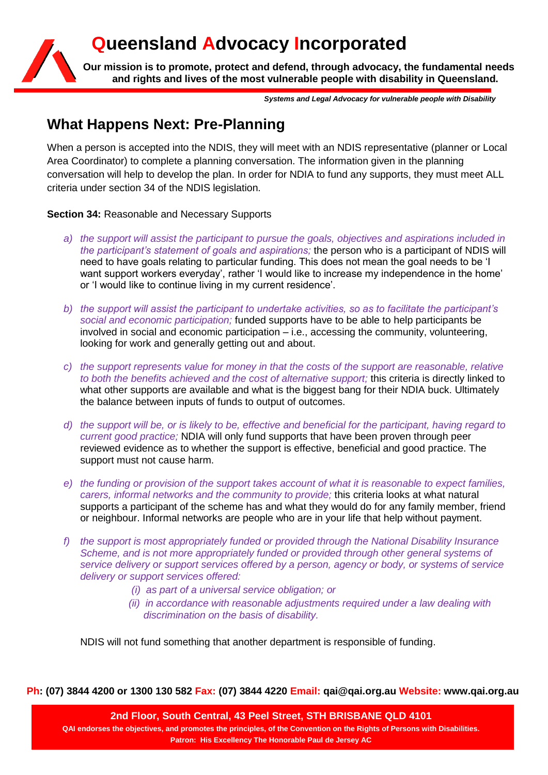# **Queensland Advocacy Incorporated**



**Our mission is to promote, protect and defend, through advocacy, the fundamental needs and rights and lives of the most vulnerable people with disability in Queensland.**

*Systems and Legal Advocacy for vulnerable people with Disability*

## **What Happens Next: Pre-Planning**

When a person is accepted into the NDIS, they will meet with an NDIS representative (planner or Local Area Coordinator) to complete a planning conversation. The information given in the planning conversation will help to develop the plan. In order for NDIA to fund any supports, they must meet ALL criteria under section 34 of the NDIS legislation.

**Section 34:** Reasonable and Necessary Supports

- *a) the support will assist the participant to pursue the goals, objectives and aspirations included in the participant's statement of goals and aspirations;* the person who is a participant of NDIS will need to have goals relating to particular funding. This does not mean the goal needs to be 'I want support workers everyday', rather 'I would like to increase my independence in the home' or 'I would like to continue living in my current residence'.
- *b) the support will assist the participant to undertake activities, so as to facilitate the participant's social and economic participation;* funded supports have to be able to help participants be involved in social and economic participation – i.e., accessing the community, volunteering, looking for work and generally getting out and about.
- *c) the support represents value for money in that the costs of the support are reasonable, relative to both the benefits achieved and the cost of alternative support;* this criteria is directly linked to what other supports are available and what is the biggest bang for their NDIA buck. Ultimately the balance between inputs of funds to output of outcomes.
- *d) the support will be, or is likely to be, effective and beneficial for the participant, having regard to current good practice;* NDIA will only fund supports that have been proven through peer reviewed evidence as to whether the support is effective, beneficial and good practice. The support must not cause harm.
- *e) the funding or provision of the support takes account of what it is reasonable to expect families, carers, informal networks and the community to provide;* this criteria looks at what natural supports a participant of the scheme has and what they would do for any family member, friend or neighbour. Informal networks are people who are in your life that help without payment.
- *f) the support is most appropriately funded or provided through the National Disability Insurance Scheme, and is not more appropriately funded or provided through other general systems of service delivery or support services offered by a person, agency or body, or systems of service delivery or support services offered:*
	- *(i) as part of a universal service obligation; or*
	- *(ii) in accordance with reasonable adjustments required under a law dealing with discrimination on the basis of disability.*

NDIS will not fund something that another department is responsible of funding.

**Ph: (07) 3844 4200 or 1300 130 582 Fax: (07) 3844 4220 Email: qai@qai.org.au Website: www.qai.org.au**

**2nd Floor, South Central, 43 Peel Street, STH BRISBANE QLD 4101 QAI endorses the objectives, and promotes the principles, of the Convention on the Rights of Persons with Disabilities. Patron: His Excellency The Honorable Paul de Jersey AC**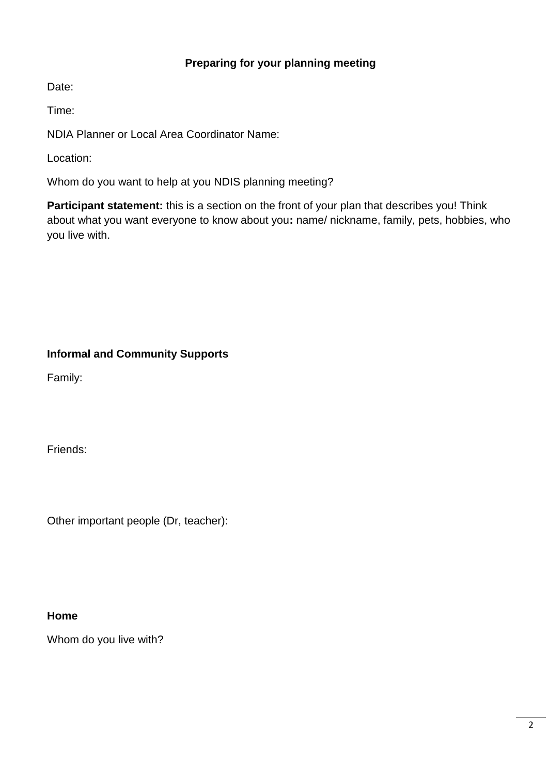#### **Preparing for your planning meeting**

Date:

Time:

NDIA Planner or Local Area Coordinator Name:

Location:

Whom do you want to help at you NDIS planning meeting?

**Participant statement:** this is a section on the front of your plan that describes you! Think about what you want everyone to know about you**:** name/ nickname, family, pets, hobbies, who you live with.

### **Informal and Community Supports**

Family:

Friends:

Other important people (Dr, teacher):

#### **Home**

Whom do you live with?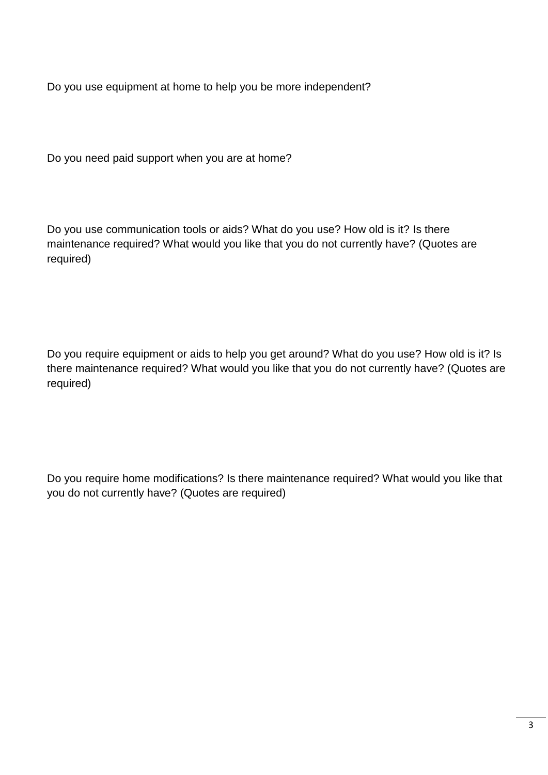Do you use equipment at home to help you be more independent?

Do you need paid support when you are at home?

Do you use communication tools or aids? What do you use? How old is it? Is there maintenance required? What would you like that you do not currently have? (Quotes are required)

Do you require equipment or aids to help you get around? What do you use? How old is it? Is there maintenance required? What would you like that you do not currently have? (Quotes are required)

Do you require home modifications? Is there maintenance required? What would you like that you do not currently have? (Quotes are required)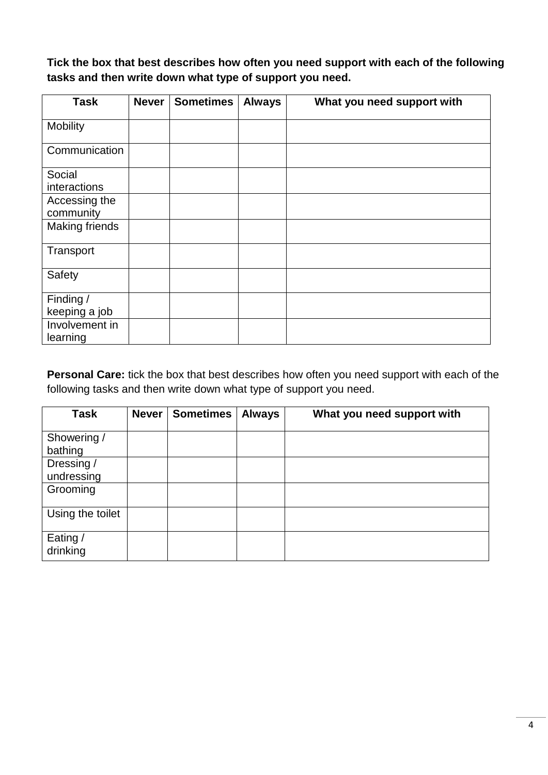**Tick the box that best describes how often you need support with each of the following tasks and then write down what type of support you need.**

| <b>Task</b>                | <b>Never</b> | <b>Sometimes</b> | <b>Always</b> | What you need support with |
|----------------------------|--------------|------------------|---------------|----------------------------|
| <b>Mobility</b>            |              |                  |               |                            |
| Communication              |              |                  |               |                            |
| Social<br>interactions     |              |                  |               |                            |
| Accessing the<br>community |              |                  |               |                            |
| <b>Making friends</b>      |              |                  |               |                            |
| Transport                  |              |                  |               |                            |
| Safety                     |              |                  |               |                            |
| Finding /<br>keeping a job |              |                  |               |                            |
| Involvement in<br>learning |              |                  |               |                            |

**Personal Care:** tick the box that best describes how often you need support with each of the following tasks and then write down what type of support you need.

| <b>Task</b>              | <b>Never</b> | <b>Sometimes</b> | <b>Always</b> | What you need support with |
|--------------------------|--------------|------------------|---------------|----------------------------|
| Showering /<br>bathing   |              |                  |               |                            |
| Dressing /<br>undressing |              |                  |               |                            |
| Grooming                 |              |                  |               |                            |
| Using the toilet         |              |                  |               |                            |
| Eating /<br>drinking     |              |                  |               |                            |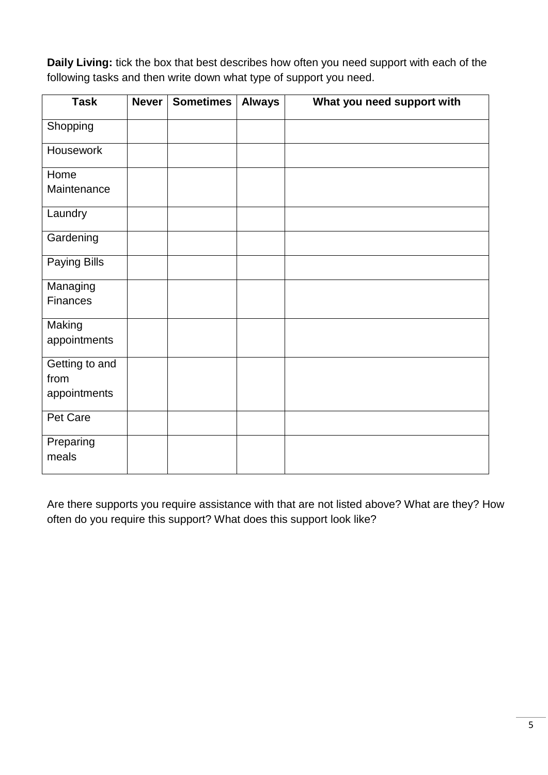**Daily Living:** tick the box that best describes how often you need support with each of the following tasks and then write down what type of support you need.

| <b>Task</b>     | <b>Never</b> | <b>Sometimes</b> | <b>Always</b> | What you need support with |
|-----------------|--------------|------------------|---------------|----------------------------|
| Shopping        |              |                  |               |                            |
| Housework       |              |                  |               |                            |
| Home            |              |                  |               |                            |
| Maintenance     |              |                  |               |                            |
| Laundry         |              |                  |               |                            |
| Gardening       |              |                  |               |                            |
| Paying Bills    |              |                  |               |                            |
| Managing        |              |                  |               |                            |
| <b>Finances</b> |              |                  |               |                            |
| Making          |              |                  |               |                            |
| appointments    |              |                  |               |                            |
| Getting to and  |              |                  |               |                            |
| from            |              |                  |               |                            |
| appointments    |              |                  |               |                            |
| Pet Care        |              |                  |               |                            |
| Preparing       |              |                  |               |                            |
| meals           |              |                  |               |                            |

Are there supports you require assistance with that are not listed above? What are they? How often do you require this support? What does this support look like?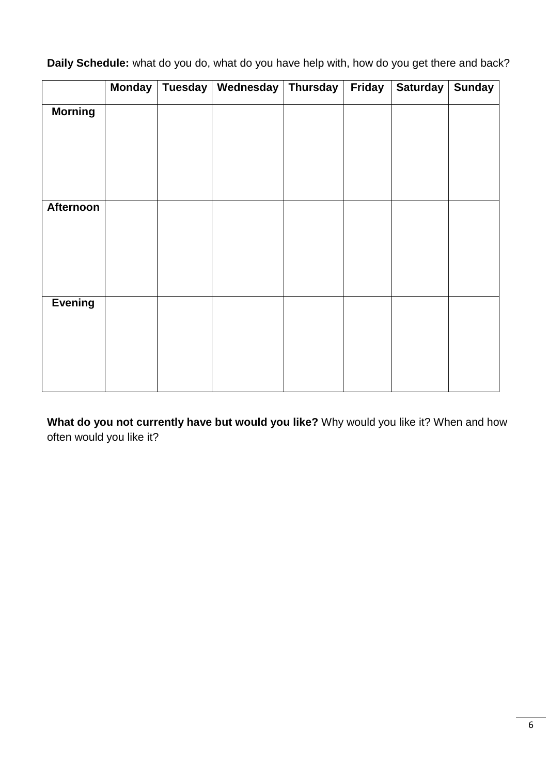**Daily Schedule:** what do you do, what do you have help with, how do you get there and back?

|                | <b>Monday</b> | Tuesday | Wednesday Thursday | Friday | <b>Saturday</b> | <b>Sunday</b> |
|----------------|---------------|---------|--------------------|--------|-----------------|---------------|
| <b>Morning</b> |               |         |                    |        |                 |               |
|                |               |         |                    |        |                 |               |
|                |               |         |                    |        |                 |               |
|                |               |         |                    |        |                 |               |
|                |               |         |                    |        |                 |               |
| Afternoon      |               |         |                    |        |                 |               |
|                |               |         |                    |        |                 |               |
|                |               |         |                    |        |                 |               |
|                |               |         |                    |        |                 |               |
|                |               |         |                    |        |                 |               |
| <b>Evening</b> |               |         |                    |        |                 |               |
|                |               |         |                    |        |                 |               |
|                |               |         |                    |        |                 |               |
|                |               |         |                    |        |                 |               |
|                |               |         |                    |        |                 |               |

**What do you not currently have but would you like?** Why would you like it? When and how often would you like it?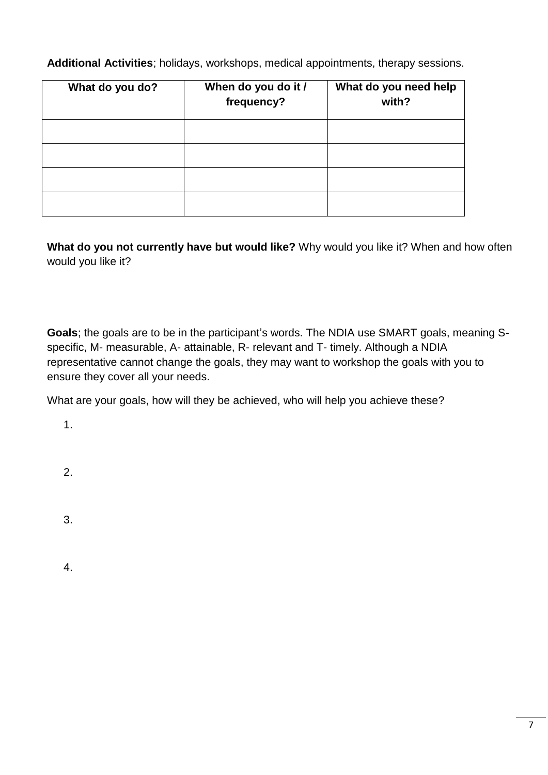**Additional Activities**; holidays, workshops, medical appointments, therapy sessions.

| What do you do? | When do you do it /<br>frequency? | What do you need help<br>with? |
|-----------------|-----------------------------------|--------------------------------|
|                 |                                   |                                |
|                 |                                   |                                |
|                 |                                   |                                |
|                 |                                   |                                |

**What do you not currently have but would like?** Why would you like it? When and how often would you like it?

**Goals**; the goals are to be in the participant's words. The NDIA use SMART goals, meaning Sspecific, M- measurable, A- attainable, R- relevant and T- timely. Although a NDIA representative cannot change the goals, they may want to workshop the goals with you to ensure they cover all your needs.

What are your goals, how will they be achieved, who will help you achieve these?

1.

2.

3.

4.